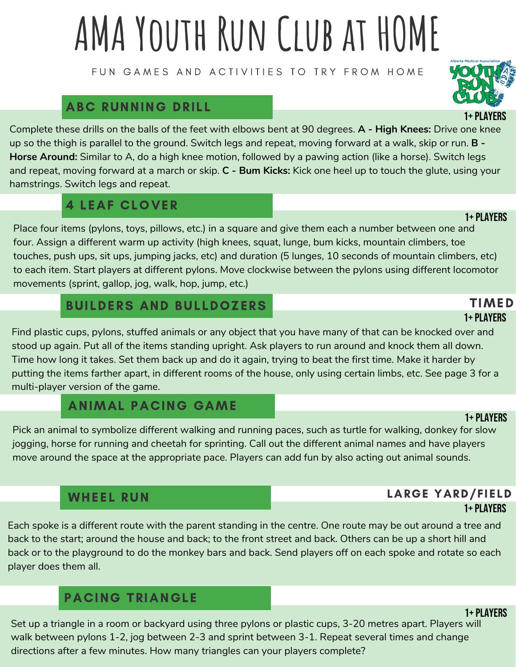# **AMA Youth Run Club at HOME**

FUN GAMES AND ACTIVITIES TO TRY FROM HOME

### ABC RUNNING DRILL

Complete these drills on the balls of the feet with elbows bent at 90 degrees. **A - High Knees:** Drive one knee up so the thigh is parallel to the ground. Switch legs and repeat, moving forward at a walk, skip or run. **B - Horse Around:** Similar to A, do a high knee motion, followed by a pawing action (like a horse). Switch legs and repeat, moving forward at a march or skip. **C - Bum Kicks:** Kick one heel up to touch the glute, using your hamstrings. Switch legs and repeat.

### 4 LEAF CLOVER

Place four items (pylons, toys, pillows, etc.) in a square and give them each a number between one and four. Assign a different warm up activity (high knees, squat, lunge, bum kicks, mountain climbers, toe touches, push ups, sit ups, jumping jacks, etc) and duration (5 lunges, 10 seconds of mountain climbers, etc) to each item. Start players at different pylons. Move clockwise between the pylons using different locomotor movements (sprint, gallop, jog, walk, hop, jump, etc.)

### BUILDERS AND BULLDOZERS

Find plastic cups, pylons, stuffed animals or any object that you have many of that can be knocked over and stood up again. Put all of the items standing upright. Ask players to run around and knock them all down. Time how long it takes. Set them back up and do it again, trying to beat the first time. Make it harder by putting the items farther apart, in different rooms of the house, only using certain limbs, etc. See page 3 for a multi-player version of the game.

### ANIMAL PACING GAME

Pick an animal to symbolize different walking and running paces, such as turtle for walking, donkey for slow jogging, horse for running and cheetah for sprinting. Call out the different animal names and have players move around the space at the appropriate pace. Players can add fun by also acting out animal sounds.

### WHEEL RUN

Each spoke is a different route with the parent standing in the centre. One route may be out around a tree and back to the start; around the house and back; to the front street and back. Others can be up a short hill and back or to the playground to do the monkey bars and back. Send players off on each spoke and rotate so each player does them all.

### PACING TRIANGLE

Set up a triangle in a room or backyard using three pylons or plastic cups, 3-20 metres apart. Players will walk between pylons 1-2, jog between 2-3 and sprint between 3-1. Repeat several times and change directions after a few minutes. How many triangles can your players complete?

### LARGE YARD/FIELD 1+ Players

### 1+ Players

### 1+ Players

### 1+ Players TIMED

## 1+ Players

### 1+ Players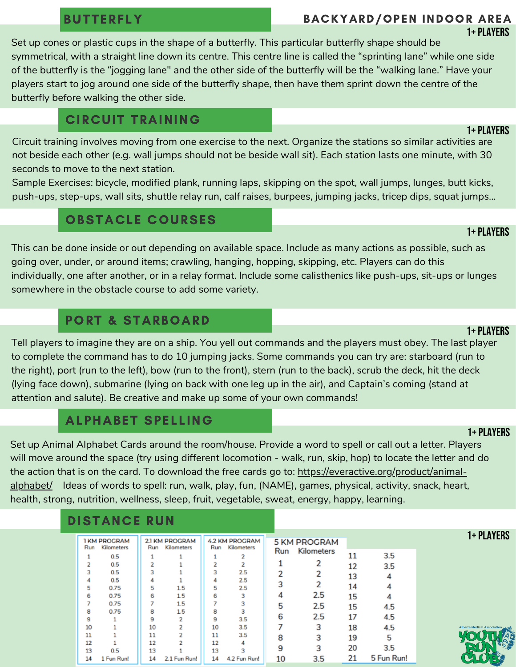### BUTTERFLY

### BACKYARD/OPEN INDOOR AREA 1+ Players

Set up cones or plastic cups in the shape of a butterfly. This particular butterfly shape should be symmetrical, with a straight line down its centre. This centre line is called the "sprinting lane" while one side of the butterfly is the "jogging lane" and the other side of the butterfly will be the "walking lane." Have your players start to jog around one side of the butterfly shape, then have them sprint down the centre of the butterfly before walking the other side.

### CIRCUIT TRAINING

Circuit training involves moving from one exercise to the next. Organize the stations so similar activities are not beside each other (e.g. wall jumps should not be beside wall sit). Each station lasts one minute, with 30 seconds to move to the next station.

Sample Exercises: bicycle, modified plank, running laps, skipping on the spot, wall jumps, lunges, butt kicks, push-ups, step-ups, wall sits, shuttle relay run, calf raises, burpees, jumping jacks, tricep dips, squat jumps...

### OBSTACLE COURSES

### 1+ Players

This can be done inside or out depending on available space. Include as many actions as possible, such as going over, under, or around items; crawling, hanging, hopping, skipping, etc. Players can do this individually, one after another, or in a relay format. Include some calisthenics like push-ups, sit-ups or lunges somewhere in the obstacle course to add some variety.

### PORT & STARBOARD

### Tell players to imagine they are on a ship. You yell out commands and the players must obey. The last player to complete the command has to do 10 jumping jacks. Some commands you can try are: starboard (run to the right), port (run to the left), bow (run to the front), stern (run to the back), scrub the deck, hit the deck (lying face down), submarine (lying on back with one leg up in the air), and Captain's coming (stand at attention and salute). Be creative and make up some of your own commands!

### ALPHABET SPELLING

Set up Animal Alphabet Cards around the room/house. Provide a word to spell or call out a letter. Players will move around the space (try using different locomotion - walk, run, skip, hop) to locate the letter and do the action that is on the card. To download the free cards go to: [https://everactive.org/product/animal](https://everactive.org/product/animal-alphabet/)alphabet/ Ideas of words to spell: run, walk, play, fun, (NAME), games, physical, activity, snack, heart, health, strong, nutrition, wellness, sleep, fruit, vegetable, sweat, energy, happy, learning.

### DISTANCE RUN

|     | <b>I KM PROGRAM</b> |     | <b>2.1 KM PROGRAM</b> |     | <b>4.2 KM PROGRAM</b> |     | <b>5 KM PROGRAM</b> |    |            |
|-----|---------------------|-----|-----------------------|-----|-----------------------|-----|---------------------|----|------------|
| Run | Kilometers          | Run | <b>Kilometers</b>     | Run | <b>Kilometers</b>     | Run | <b>Kilometers</b>   |    |            |
|     | 0.5                 |     |                       |     |                       |     |                     | 11 | 3.5        |
|     | 0.5                 |     |                       |     |                       |     |                     | 12 | 3.5        |
|     | 0.5                 | з   |                       |     | 2.5                   | 2   |                     | 13 |            |
| 4   | 0.5                 |     |                       | 4   | 2.5                   | 3   |                     | 14 |            |
| 5   | 0.75                | 5   | 1.5                   | 5   | 2.5                   | 4   | 2.5                 |    |            |
| 6   | 0.75<br>0.75        | 6   | 1.5<br>1.5            | 6   | 3                     |     |                     | 15 | 4          |
| 8   | 0.75                | 8   | 1.5                   | R   |                       | 5   | 2.5                 | 15 | 4.5        |
| 9   |                     | 9   |                       | 9   | 3.5                   | 6   | 2.5                 | 17 | 4.5        |
| 10  |                     | 10  |                       | 10  | 3.5                   |     | 3                   | 18 | 4.5        |
| 11  |                     | 11  |                       | 11  | 3.5                   | 8   | 3                   | 19 | 5          |
| 12  |                     | 12  |                       | 12  |                       |     |                     |    |            |
| 13  | 0.5                 | 13  |                       | 13  | 3                     | 9   | 3                   | 20 | 3.5        |
| 14  | 1 Fun Run!          | 14  | 2.1 Fun Run!          | 14  | 4.2 Fun Run!          | 10  | 3.5                 | 21 | 5 Fun Run! |

### 1+ Players

1+ Players

### 1+ Players

1+ Players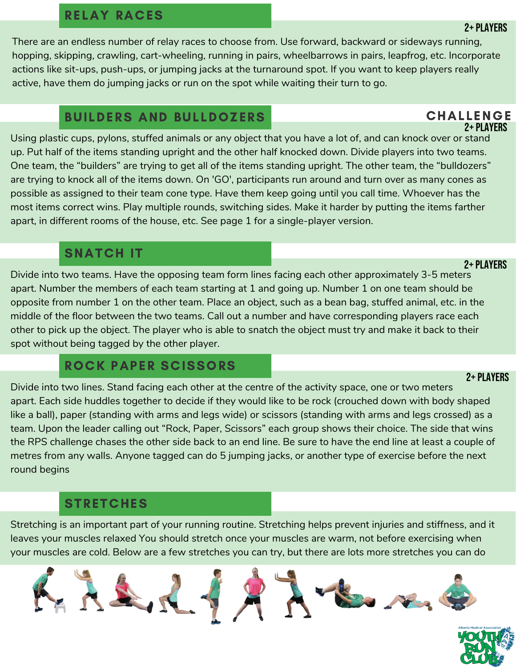### RELAY RACES

There are an endless number of relay races to choose from. Use forward, backward or sideways running, hopping, skipping, crawling, cart-wheeling, running in pairs, wheelbarrows in pairs, leapfrog, etc. Incorporate actions like sit-ups, push-ups, or jumping jacks at the turnaround spot. If you want to keep players really active, have them do jumping jacks or run on the spot while waiting their turn to go.

### BUILDERS AND BULLDOZERS CHALLENGE

Using plastic cups, pylons, stuffed animals or any object that you have a lot of, and can knock over or stand up. Put half of the items standing upright and the other half knocked down. Divide players into two teams. One team, the "builders" are trying to get all of the items standing upright. The other team, the "bulldozers" are trying to knock all of the items down. On 'GO', participants run around and turn over as many cones as possible as assigned to their team cone type. Have them keep going until you call time. Whoever has the most items correct wins. Play multiple rounds, switching sides. Make it harder by putting the items farther apart, in different rooms of the house, etc. See page 1 for a single-player version.

### SNATCH IT

Divide into two teams. Have the opposing team form lines facing each other approximately 3-5 meters apart. Number the members of each team starting at 1 and going up. Number 1 on one team should be opposite from number 1 on the other team. Place an object, such as a bean bag, stuffed animal, etc. in the middle of the floor between the two teams. Call out a number and have corresponding players race each other to pick up the object. The player who is able to snatch the object must try and make it back to their spot without being tagged by the other player.

### ROCK PAPER SCISSORS

2+ Players Divide into two lines. Stand facing each other at the centre of the activity space, one or two meters apart. Each side huddles together to decide if they would like to be rock (crouched down with body shaped like a ball), paper (standing with arms and legs wide) or scissors (standing with arms and legs crossed) as a team. Upon the leader calling out "Rock, Paper, Scissors" each group shows their choice. The side that wins the RPS challenge chases the other side back to an end line. Be sure to have the end line at least a couple of metres from any walls. Anyone tagged can do 5 jumping jacks, or another type of exercise before the next round begins

### **STRETCHES**

Stretching is an important part of your running routine. Stretching helps prevent injuries and stiffness, and it leaves your muscles relaxed You should stretch once your muscles are warm, not before exercising when your muscles are cold. Below are a few stretches you can try, but there are lots more stretches you can do



2+ PI AYFRS

### 2+ Players

### 2+ PI AYFRS